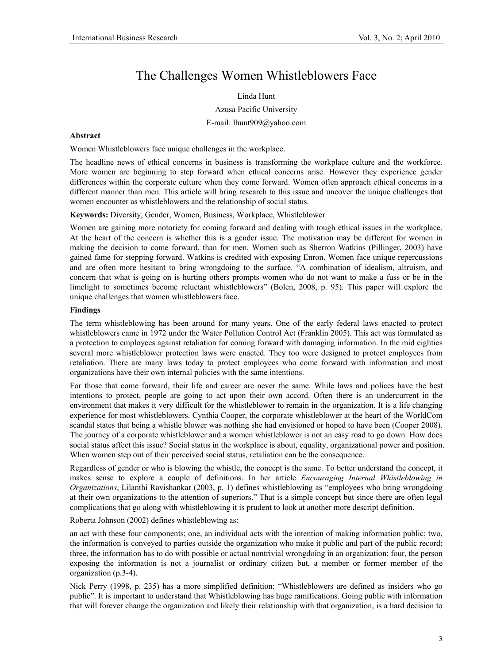# The Challenges Women Whistleblowers Face

# Linda Hunt

Azusa Pacific University

## E-mail: lhunt909@yahoo.com

## **Abstract**

Women Whistleblowers face unique challenges in the workplace.

The headline news of ethical concerns in business is transforming the workplace culture and the workforce. More women are beginning to step forward when ethical concerns arise. However they experience gender differences within the corporate culture when they come forward. Women often approach ethical concerns in a different manner than men. This article will bring research to this issue and uncover the unique challenges that women encounter as whistleblowers and the relationship of social status.

**Keywords:** Diversity, Gender, Women, Business, Workplace, Whistleblower

Women are gaining more notoriety for coming forward and dealing with tough ethical issues in the workplace. At the heart of the concern is whether this is a gender issue. The motivation may be different for women in making the decision to come forward, than for men. Women such as Sherron Watkins (Pillinger, 2003) have gained fame for stepping forward. Watkins is credited with exposing Enron. Women face unique repercussions and are often more hesitant to bring wrongdoing to the surface. "A combination of idealism, altruism, and concern that what is going on is hurting others prompts women who do not want to make a fuss or be in the limelight to sometimes become reluctant whistleblowers" (Bolen, 2008, p. 95). This paper will explore the unique challenges that women whistleblowers face.

## **Findings**

The term whistleblowing has been around for many years. One of the early federal laws enacted to protect whistleblowers came in 1972 under the Water Pollution Control Act (Franklin 2005). This act was formulated as a protection to employees against retaliation for coming forward with damaging information. In the mid eighties several more whistleblower protection laws were enacted. They too were designed to protect employees from retaliation. There are many laws today to protect employees who come forward with information and most organizations have their own internal policies with the same intentions.

For those that come forward, their life and career are never the same. While laws and polices have the best intentions to protect, people are going to act upon their own accord. Often there is an undercurrent in the environment that makes it very difficult for the whistleblower to remain in the organization. It is a life changing experience for most whistleblowers. Cynthia Cooper, the corporate whistleblower at the heart of the WorldCom scandal states that being a whistle blower was nothing she had envisioned or hoped to have been (Cooper 2008). The journey of a corporate whistleblower and a women whistleblower is not an easy road to go down. How does social status affect this issue? Social status in the workplace is about, equality, organizational power and position. When women step out of their perceived social status, retaliation can be the consequence.

Regardless of gender or who is blowing the whistle, the concept is the same. To better understand the concept, it makes sense to explore a couple of definitions. In her article *Encouraging Internal Whistleblowing in Organizations*, Lilanthi Ravishankar (2003, p. 1) defines whistleblowing as "employees who bring wrongdoing at their own organizations to the attention of superiors." That is a simple concept but since there are often legal complications that go along with whistleblowing it is prudent to look at another more descript definition.

Roberta Johnson (2002) defines whistleblowing as:

an act with these four components; one, an individual acts with the intention of making information public; two, the information is conveyed to parties outside the organization who make it public and part of the public record; three, the information has to do with possible or actual nontrivial wrongdoing in an organization; four, the person exposing the information is not a journalist or ordinary citizen but, a member or former member of the organization (p.3-4).

Nick Perry (1998, p. 235) has a more simplified definition: "Whistleblowers are defined as insiders who go public". It is important to understand that Whistleblowing has huge ramifications. Going public with information that will forever change the organization and likely their relationship with that organization, is a hard decision to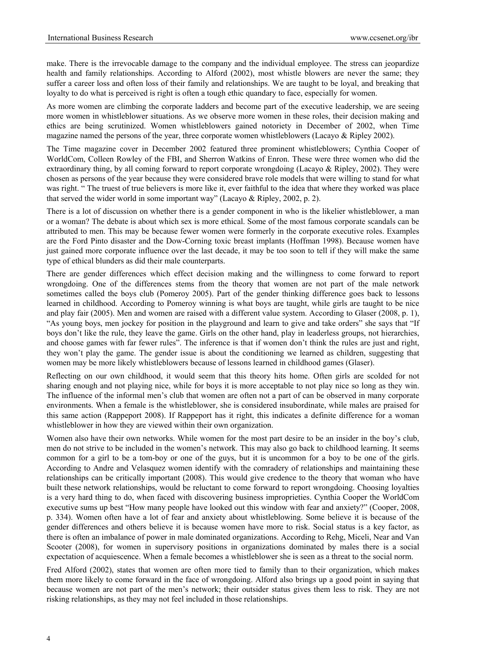make. There is the irrevocable damage to the company and the individual employee. The stress can jeopardize health and family relationships. According to Alford (2002), most whistle blowers are never the same; they suffer a career loss and often loss of their family and relationships. We are taught to be loyal, and breaking that loyalty to do what is perceived is right is often a tough ethic quandary to face, especially for women.

As more women are climbing the corporate ladders and become part of the executive leadership, we are seeing more women in whistleblower situations. As we observe more women in these roles, their decision making and ethics are being scrutinized. Women whistleblowers gained notoriety in December of 2002, when Time magazine named the persons of the year, three corporate women whistleblowers (Lacayo & Ripley 2002).

The Time magazine cover in December 2002 featured three prominent whistleblowers; Cynthia Cooper of WorldCom, Colleen Rowley of the FBI, and Sherron Watkins of Enron. These were three women who did the extraordinary thing, by all coming forward to report corporate wrongdoing (Lacayo & Ripley, 2002). They were chosen as persons of the year because they were considered brave role models that were willing to stand for what was right. " The truest of true believers is more like it, ever faithful to the idea that where they worked was place that served the wider world in some important way" (Lacayo & Ripley, 2002, p. 2).

There is a lot of discussion on whether there is a gender component in who is the likelier whistleblower, a man or a woman? The debate is about which sex is more ethical. Some of the most famous corporate scandals can be attributed to men. This may be because fewer women were formerly in the corporate executive roles. Examples are the Ford Pinto disaster and the Dow-Corning toxic breast implants (Hoffman 1998). Because women have just gained more corporate influence over the last decade, it may be too soon to tell if they will make the same type of ethical blunders as did their male counterparts.

There are gender differences which effect decision making and the willingness to come forward to report wrongdoing. One of the differences stems from the theory that women are not part of the male network sometimes called the boys club (Pomeroy 2005). Part of the gender thinking difference goes back to lessons learned in childhood. According to Pomeroy winning is what boys are taught, while girls are taught to be nice and play fair (2005). Men and women are raised with a different value system. According to Glaser (2008, p. 1), "As young boys, men jockey for position in the playground and learn to give and take orders" she says that "If boys don't like the rule, they leave the game. Girls on the other hand, play in leaderless groups, not hierarchies, and choose games with far fewer rules". The inference is that if women don't think the rules are just and right, they won't play the game. The gender issue is about the conditioning we learned as children, suggesting that women may be more likely whistleblowers because of lessons learned in childhood games (Glaser).

Reflecting on our own childhood, it would seem that this theory hits home. Often girls are scolded for not sharing enough and not playing nice, while for boys it is more acceptable to not play nice so long as they win. The influence of the informal men's club that women are often not a part of can be observed in many corporate environments. When a female is the whistleblower, she is considered insubordinate, while males are praised for this same action (Rappeport 2008). If Rappeport has it right, this indicates a definite difference for a woman whistleblower in how they are viewed within their own organization.

Women also have their own networks. While women for the most part desire to be an insider in the boy's club, men do not strive to be included in the women's network. This may also go back to childhood learning. It seems common for a girl to be a tom-boy or one of the guys, but it is uncommon for a boy to be one of the girls. According to Andre and Velasquez women identify with the comradery of relationships and maintaining these relationships can be critically important (2008). This would give credence to the theory that woman who have built these network relationships, would be reluctant to come forward to report wrongdoing. Choosing loyalties is a very hard thing to do, when faced with discovering business improprieties. Cynthia Cooper the WorldCom executive sums up best "How many people have looked out this window with fear and anxiety?" (Cooper, 2008, p. 334). Women often have a lot of fear and anxiety about whistleblowing. Some believe it is because of the gender differences and others believe it is because women have more to risk. Social status is a key factor, as there is often an imbalance of power in male dominated organizations. According to Rehg, Miceli, Near and Van Scooter (2008), for women in supervisory positions in organizations dominated by males there is a social expectation of acquiescence. When a female becomes a whistleblower she is seen as a threat to the social norm.

Fred Alford (2002), states that women are often more tied to family than to their organization, which makes them more likely to come forward in the face of wrongdoing. Alford also brings up a good point in saying that because women are not part of the men's network; their outsider status gives them less to risk. They are not risking relationships, as they may not feel included in those relationships.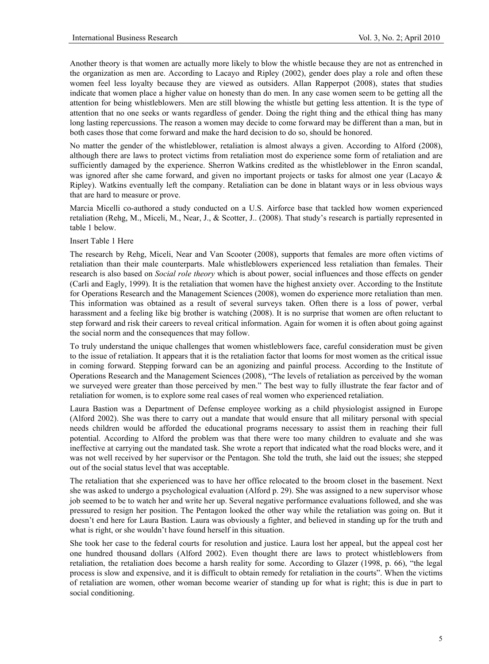Another theory is that women are actually more likely to blow the whistle because they are not as entrenched in the organization as men are. According to Lacayo and Ripley (2002), gender does play a role and often these women feel less loyalty because they are viewed as outsiders. Allan Rapperpot (2008), states that studies indicate that women place a higher value on honesty than do men. In any case women seem to be getting all the attention for being whistleblowers. Men are still blowing the whistle but getting less attention. It is the type of attention that no one seeks or wants regardless of gender. Doing the right thing and the ethical thing has many long lasting repercussions. The reason a women may decide to come forward may be different than a man, but in both cases those that come forward and make the hard decision to do so, should be honored.

No matter the gender of the whistleblower, retaliation is almost always a given. According to Alford (2008), although there are laws to protect victims from retaliation most do experience some form of retaliation and are sufficiently damaged by the experience. Sherron Watkins credited as the whistleblower in the Enron scandal, was ignored after she came forward, and given no important projects or tasks for almost one year (Lacayo & Ripley). Watkins eventually left the company. Retaliation can be done in blatant ways or in less obvious ways that are hard to measure or prove.

Marcia Micelli co-authored a study conducted on a U.S. Airforce base that tackled how women experienced retaliation (Rehg, M., Miceli, M., Near, J., & Scotter, J.. (2008). That study's research is partially represented in table 1 below.

### Insert Table 1 Here

The research by Rehg, Miceli, Near and Van Scooter (2008), supports that females are more often victims of retaliation than their male counterparts. Male whistleblowers experienced less retaliation than females. Their research is also based on *Social role theory* which is about power, social influences and those effects on gender (Carli and Eagly, 1999). It is the retaliation that women have the highest anxiety over. According to the Institute for Operations Research and the Management Sciences (2008), women do experience more retaliation than men. This information was obtained as a result of several surveys taken. Often there is a loss of power, verbal harassment and a feeling like big brother is watching (2008). It is no surprise that women are often reluctant to step forward and risk their careers to reveal critical information. Again for women it is often about going against the social norm and the consequences that may follow.

To truly understand the unique challenges that women whistleblowers face, careful consideration must be given to the issue of retaliation. It appears that it is the retaliation factor that looms for most women as the critical issue in coming forward. Stepping forward can be an agonizing and painful process. According to the Institute of Operations Research and the Management Sciences (2008), "The levels of retaliation as perceived by the woman we surveyed were greater than those perceived by men." The best way to fully illustrate the fear factor and of retaliation for women, is to explore some real cases of real women who experienced retaliation.

Laura Bastion was a Department of Defense employee working as a child physiologist assigned in Europe (Alford 2002). She was there to carry out a mandate that would ensure that all military personal with special needs children would be afforded the educational programs necessary to assist them in reaching their full potential. According to Alford the problem was that there were too many children to evaluate and she was ineffective at carrying out the mandated task. She wrote a report that indicated what the road blocks were, and it was not well received by her supervisor or the Pentagon. She told the truth, she laid out the issues; she stepped out of the social status level that was acceptable.

The retaliation that she experienced was to have her office relocated to the broom closet in the basement. Next she was asked to undergo a psychological evaluation (Alford p. 29). She was assigned to a new supervisor whose job seemed to be to watch her and write her up. Several negative performance evaluations followed, and she was pressured to resign her position. The Pentagon looked the other way while the retaliation was going on. But it doesn't end here for Laura Bastion. Laura was obviously a fighter, and believed in standing up for the truth and what is right, or she wouldn't have found herself in this situation.

She took her case to the federal courts for resolution and justice. Laura lost her appeal, but the appeal cost her one hundred thousand dollars (Alford 2002). Even thought there are laws to protect whistleblowers from retaliation, the retaliation does become a harsh reality for some. According to Glazer (1998, p. 66), "the legal process is slow and expensive, and it is difficult to obtain remedy for retaliation in the courts". When the victims of retaliation are women, other woman become wearier of standing up for what is right; this is due in part to social conditioning.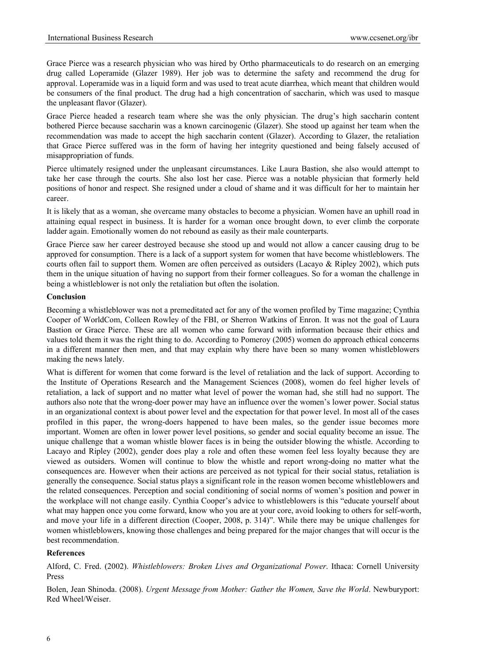Grace Pierce was a research physician who was hired by Ortho pharmaceuticals to do research on an emerging drug called Loperamide (Glazer 1989). Her job was to determine the safety and recommend the drug for approval. Loperamide was in a liquid form and was used to treat acute diarrhea, which meant that children would be consumers of the final product. The drug had a high concentration of saccharin, which was used to masque the unpleasant flavor (Glazer).

Grace Pierce headed a research team where she was the only physician. The drug's high saccharin content bothered Pierce because saccharin was a known carcinogenic (Glazer). She stood up against her team when the recommendation was made to accept the high saccharin content (Glazer). According to Glazer, the retaliation that Grace Pierce suffered was in the form of having her integrity questioned and being falsely accused of misappropriation of funds.

Pierce ultimately resigned under the unpleasant circumstances. Like Laura Bastion, she also would attempt to take her case through the courts. She also lost her case. Pierce was a notable physician that formerly held positions of honor and respect. She resigned under a cloud of shame and it was difficult for her to maintain her career.

It is likely that as a woman, she overcame many obstacles to become a physician. Women have an uphill road in attaining equal respect in business. It is harder for a woman once brought down, to ever climb the corporate ladder again. Emotionally women do not rebound as easily as their male counterparts.

Grace Pierce saw her career destroyed because she stood up and would not allow a cancer causing drug to be approved for consumption. There is a lack of a support system for women that have become whistleblowers. The courts often fail to support them. Women are often perceived as outsiders (Lacayo & Ripley 2002), which puts them in the unique situation of having no support from their former colleagues. So for a woman the challenge in being a whistleblower is not only the retaliation but often the isolation.

### **Conclusion**

Becoming a whistleblower was not a premeditated act for any of the women profiled by Time magazine; Cynthia Cooper of WorldCom, Colleen Rowley of the FBI, or Sherron Watkins of Enron. It was not the goal of Laura Bastion or Grace Pierce. These are all women who came forward with information because their ethics and values told them it was the right thing to do. According to Pomeroy (2005) women do approach ethical concerns in a different manner then men, and that may explain why there have been so many women whistleblowers making the news lately.

What is different for women that come forward is the level of retaliation and the lack of support. According to the Institute of Operations Research and the Management Sciences (2008), women do feel higher levels of retaliation, a lack of support and no matter what level of power the woman had, she still had no support. The authors also note that the wrong-doer power may have an influence over the women's lower power. Social status in an organizational context is about power level and the expectation for that power level. In most all of the cases profiled in this paper, the wrong-doers happened to have been males, so the gender issue becomes more important. Women are often in lower power level positions, so gender and social equality become an issue. The unique challenge that a woman whistle blower faces is in being the outsider blowing the whistle. According to Lacayo and Ripley (2002), gender does play a role and often these women feel less loyalty because they are viewed as outsiders. Women will continue to blow the whistle and report wrong-doing no matter what the consequences are. However when their actions are perceived as not typical for their social status, retaliation is generally the consequence. Social status plays a significant role in the reason women become whistleblowers and the related consequences. Perception and social conditioning of social norms of women's position and power in the workplace will not change easily. Cynthia Cooper's advice to whistleblowers is this "educate yourself about what may happen once you come forward, know who you are at your core, avoid looking to others for self-worth, and move your life in a different direction (Cooper, 2008, p. 314)". While there may be unique challenges for women whistleblowers, knowing those challenges and being prepared for the major changes that will occur is the best recommendation.

# **References**

Alford, C. Fred. (2002). *Whistleblowers: Broken Lives and Organizational Power*. Ithaca: Cornell University Press

Bolen, Jean Shinoda. (2008). *Urgent Message from Mother: Gather the Women, Save the World*. Newburyport: Red Wheel/Weiser.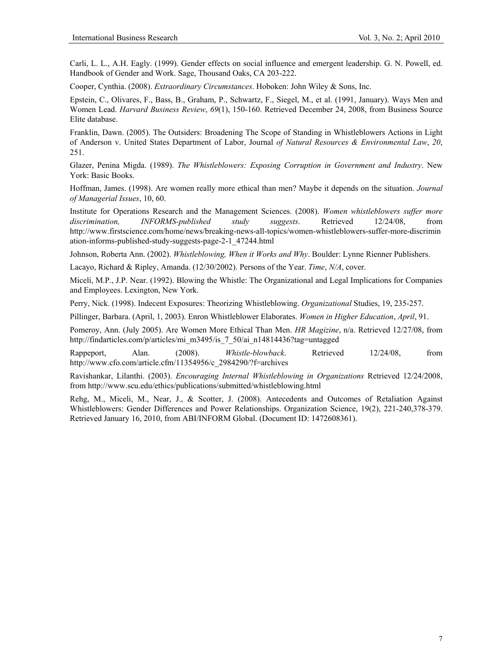Carli, L. L., A.H. Eagly. (1999). Gender effects on social influence and emergent leadership. G. N. Powell, ed. Handbook of Gender and Work. Sage, Thousand Oaks, CA 203-222.

Cooper, Cynthia. (2008). *Extraordinary Circumstances*. Hoboken: John Wiley & Sons, Inc.

Epstein, C., Olivares, F., Bass, B., Graham, P., Schwartz, F., Siegel, M., et al. (1991, January). Ways Men and Women Lead. *Harvard Business Review*, *69*(1), 150-160. Retrieved December 24, 2008, from Business Source Elite database.

Franklin, Dawn. (2005). The Outsiders: Broadening The Scope of Standing in Whistleblowers Actions in Light of Anderson v. United States Department of Labor, Journal *of Natural Resources & Environmental Law*, *20*, 251.

Glazer, Penina Migda. (1989). *The Whistleblowers: Exposing Corruption in Government and Industry*. New York: Basic Books.

Hoffman, James. (1998). Are women really more ethical than men? Maybe it depends on the situation. *Journal of Managerial Issues*, 10, 60.

Institute for Operations Research and the Management Sciences. (2008). *Women whistleblowers suffer more discrimination, INFORMS-published study suggests*. Retrieved 12/24/08, from http://www.firstscience.com/home/news/breaking-news-all-topics/women-whistleblowers-suffer-more-discrimin ation-informs-published-study-suggests-page-2-1\_47244.html

Johnson, Roberta Ann. (2002). *Whistleblowing, When it Works and Why*. Boulder: Lynne Rienner Publishers.

Lacayo, Richard & Ripley, Amanda. (12/30/2002). Persons of the Year. *Time*, *N/A*, cover.

Miceli, M.P., J.P. Near. (1992). Blowing the Whistle: The Organizational and Legal Implications for Companies and Employees. Lexington, New York.

Perry, Nick. (1998). Indecent Exposures: Theorizing Whistleblowing. *Organizational* Studies, 19, 235-257.

Pillinger, Barbara. (April, 1, 2003). Enron Whistleblower Elaborates. *Women in Higher Education*, *April*, 91.

Pomeroy, Ann. (July 2005). Are Women More Ethical Than Men. *HR Magizine*, n/a. Retrieved 12/27/08, from http://findarticles.com/p/articles/mi\_m3495/is\_7\_50/ai\_n14814436?tag=untagged

Rappeport, Alan. (2008). *Whistle-blowback*. Retrieved 12/24/08, from http://www.cfo.com/article.cfm/11354956/c\_2984290/?f=archives

Ravishankar, Lilanthi. (2003). *Encouraging Internal Whistleblowing in Organizations* Retrieved 12/24/2008, from http://www.scu.edu/ethics/publications/submitted/whistleblowing.html

Rehg, M., Miceli, M., Near, J., & Scotter, J. (2008). Antecedents and Outcomes of Retaliation Against Whistleblowers: Gender Differences and Power Relationships. Organization Science, 19(2), 221-240,378-379. Retrieved January 16, 2010, from ABI/INFORM Global. (Document ID: 1472608361).